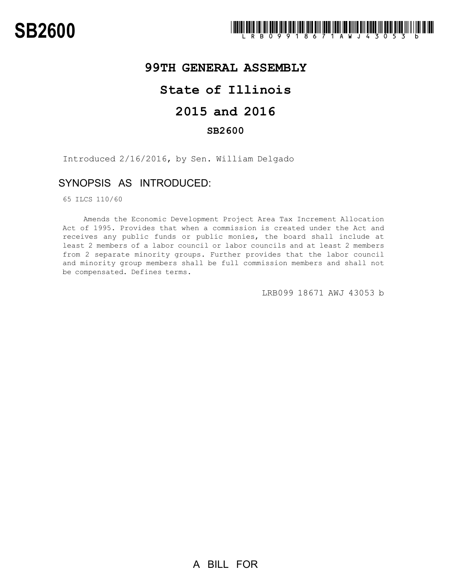

# **99TH GENERAL ASSEMBLY**

## **State of Illinois**

# **2015 and 2016**

### **SB2600**

Introduced 2/16/2016, by Sen. William Delgado

### SYNOPSIS AS INTRODUCED:

65 ILCS 110/60

Amends the Economic Development Project Area Tax Increment Allocation Act of 1995. Provides that when a commission is created under the Act and receives any public funds or public monies, the board shall include at least 2 members of a labor council or labor councils and at least 2 members from 2 separate minority groups. Further provides that the labor council and minority group members shall be full commission members and shall not be compensated. Defines terms.

LRB099 18671 AWJ 43053 b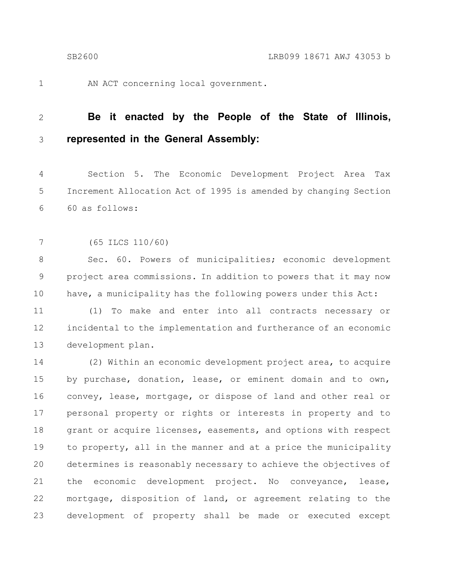1

AN ACT concerning local government.

#### **Be it enacted by the People of the State of Illinois, represented in the General Assembly:** 2 3

Section 5. The Economic Development Project Area Tax Increment Allocation Act of 1995 is amended by changing Section 60 as follows: 4 5 6

(65 ILCS 110/60) 7

Sec. 60. Powers of municipalities; economic development project area commissions. In addition to powers that it may now have, a municipality has the following powers under this Act: 8 9 10

(1) To make and enter into all contracts necessary or incidental to the implementation and furtherance of an economic development plan. 11 12 13

(2) Within an economic development project area, to acquire by purchase, donation, lease, or eminent domain and to own, convey, lease, mortgage, or dispose of land and other real or personal property or rights or interests in property and to grant or acquire licenses, easements, and options with respect to property, all in the manner and at a price the municipality determines is reasonably necessary to achieve the objectives of the economic development project. No conveyance, lease, mortgage, disposition of land, or agreement relating to the development of property shall be made or executed except 14 15 16 17 18 19 20 21 22 23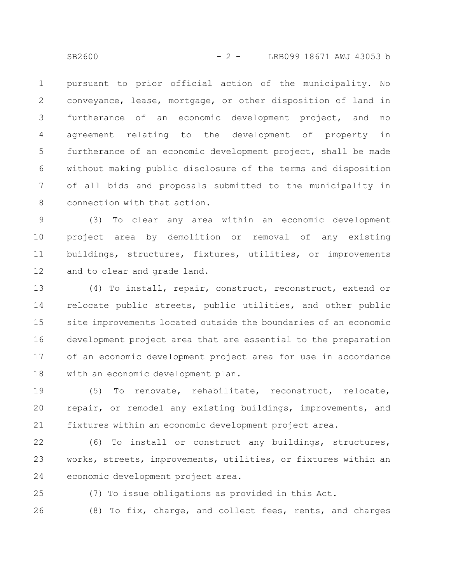pursuant to prior official action of the municipality. No conveyance, lease, mortgage, or other disposition of land in furtherance of an economic development project, and no agreement relating to the development of property in furtherance of an economic development project, shall be made without making public disclosure of the terms and disposition of all bids and proposals submitted to the municipality in connection with that action. 1 2 3 4 5 6 7 8

(3) To clear any area within an economic development project area by demolition or removal of any existing buildings, structures, fixtures, utilities, or improvements and to clear and grade land. 9 10 11 12

(4) To install, repair, construct, reconstruct, extend or relocate public streets, public utilities, and other public site improvements located outside the boundaries of an economic development project area that are essential to the preparation of an economic development project area for use in accordance with an economic development plan. 13 14 15 16 17 18

(5) To renovate, rehabilitate, reconstruct, relocate, repair, or remodel any existing buildings, improvements, and fixtures within an economic development project area. 19 20 21

(6) To install or construct any buildings, structures, works, streets, improvements, utilities, or fixtures within an economic development project area. 22 23 24

(7) To issue obligations as provided in this Act. 25

(8) To fix, charge, and collect fees, rents, and charges 26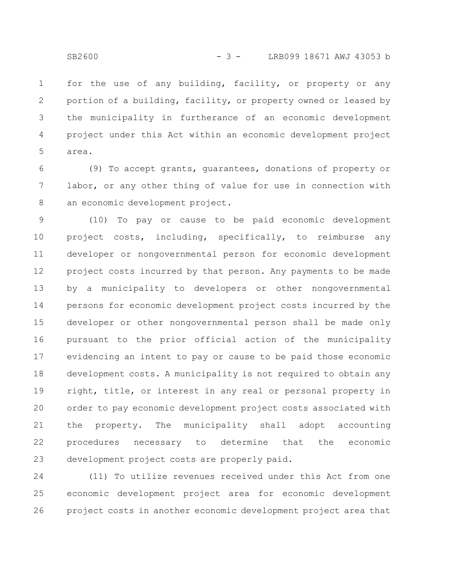for the use of any building, facility, or property or any portion of a building, facility, or property owned or leased by the municipality in furtherance of an economic development project under this Act within an economic development project area. 1 2 3 4 5

(9) To accept grants, guarantees, donations of property or labor, or any other thing of value for use in connection with an economic development project. 6 7 8

(10) To pay or cause to be paid economic development project costs, including, specifically, to reimburse any developer or nongovernmental person for economic development project costs incurred by that person. Any payments to be made by a municipality to developers or other nongovernmental persons for economic development project costs incurred by the developer or other nongovernmental person shall be made only pursuant to the prior official action of the municipality evidencing an intent to pay or cause to be paid those economic development costs. A municipality is not required to obtain any right, title, or interest in any real or personal property in order to pay economic development project costs associated with the property. The municipality shall adopt accounting procedures necessary to determine that the economic development project costs are properly paid. 9 10 11 12 13 14 15 16 17 18 19 20 21 22 23

(11) To utilize revenues received under this Act from one economic development project area for economic development project costs in another economic development project area that 24 25 26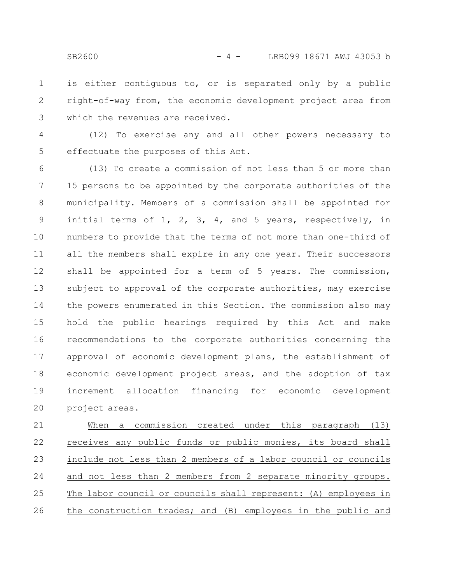is either contiguous to, or is separated only by a public right-of-way from, the economic development project area from which the revenues are received. 1 2 3

(12) To exercise any and all other powers necessary to effectuate the purposes of this Act. 4 5

(13) To create a commission of not less than 5 or more than 15 persons to be appointed by the corporate authorities of the municipality. Members of a commission shall be appointed for initial terms of 1, 2, 3, 4, and 5 years, respectively, in numbers to provide that the terms of not more than one-third of all the members shall expire in any one year. Their successors shall be appointed for a term of 5 years. The commission, subject to approval of the corporate authorities, may exercise the powers enumerated in this Section. The commission also may hold the public hearings required by this Act and make recommendations to the corporate authorities concerning the approval of economic development plans, the establishment of economic development project areas, and the adoption of tax increment allocation financing for economic development project areas. 6 7 8 9 10 11 12 13 14 15 16 17 18 19 20

When a commission created under this paragraph (13) receives any public funds or public monies, its board shall include not less than 2 members of a labor council or councils and not less than 2 members from 2 separate minority groups. The labor council or councils shall represent: (A) employees in the construction trades; and (B) employees in the public and 21 22 23 24 25 26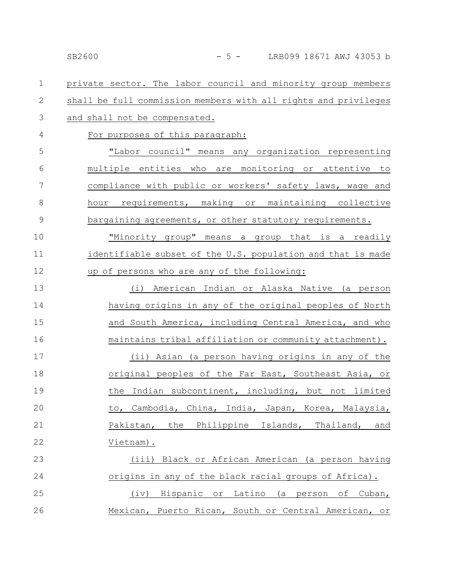### SB2600 - 5 - LRB099 18671 AWJ 43053 b

private sector. The labor council and minority group members shall be full commission members with all rights and privileges and shall not be compensated. For purposes of this paragraph: "Labor council" means any organization representing multiple entities who are monitoring or attentive to compliance with public or workers' safety laws, wage and hour requirements, making or maintaining collective bargaining agreements, or other statutory requirements. "Minority group" means a group that is a readily identifiable subset of the U.S. population and that is made up of persons who are any of the following: (i) American Indian or Alaska Native (a person having origins in any of the original peoples of North and South America, including Central America, and who maintains tribal affiliation or community attachment). (ii) Asian (a person having origins in any of the original peoples of the Far East, Southeast Asia, or the Indian subcontinent, including, but not limited to, Cambodia, China, India, Japan, Korea, Malaysia, Pakistan, the Philippine Islands, Thailand, and Vietnam). (iii) Black or African American (a person having origins in any of the black racial groups of Africa). (iv) Hispanic or Latino (a person of Cuban, Mexican, Puerto Rican, South or Central American, or 1 2 3 4 5 6 7 8 9 10 11 12 13 14 15 16 17 18 19 20 21 22 23 24 25 26